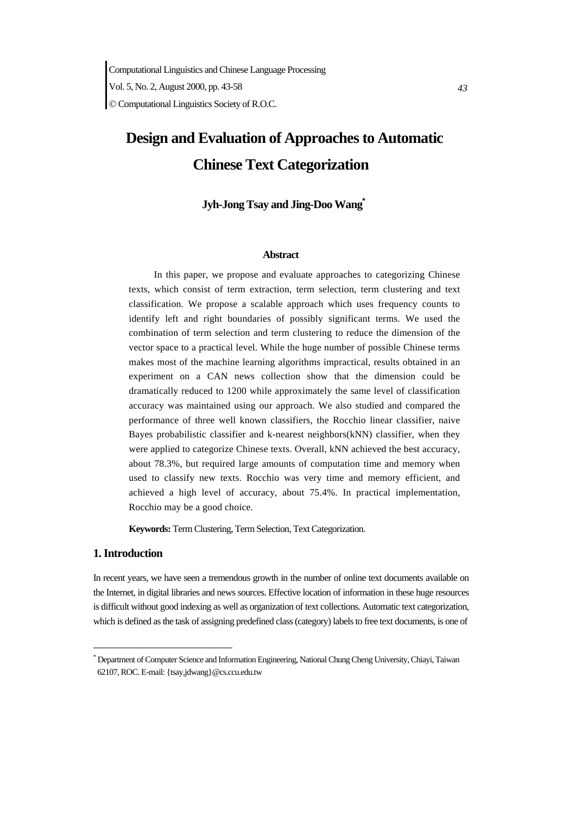Computational Linguistics and Chinese Language Processing

 *43*  Vol. 5, No. 2, August 2000, pp. 43-58

© Computational Linguistics Society of R.O.C.

# **Design and Evaluation of Approaches to Automatic Chinese Text Categorization**

# **Jyh-Jong Tsay and Jing-Doo Wang\***

#### **Abstract**

 In this paper, we propose and evaluate approaches to categorizing Chinese texts, which consist of term extraction, term selection, term clustering and text classification. We propose a scalable approach which uses frequency counts to identify left and right boundaries of possibly significant terms. We used the combination of term selection and term clustering to reduce the dimension of the vector space to a practical level. While the huge number of possible Chinese terms makes most of the machine learning algorithms impractical, results obtained in an experiment on a CAN news collection show that the dimension could be dramatically reduced to 1200 while approximately the same level of classification accuracy was maintained using our approach. We also studied and compared the performance of three well known classifiers, the Rocchio linear classifier, naive Bayes probabilistic classifier and k-nearest neighbors(kNN) classifier, when they were applied to categorize Chinese texts. Overall, kNN achieved the best accuracy, about 78.3%, but required large amounts of computation time and memory when used to classify new texts. Rocchio was very time and memory efficient, and achieved a high level of accuracy, about 75.4%. In practical implementation, Rocchio may be a good choice.

**Keywords:** Term Clustering, Term Selection, Text Categorization.

# **1. Introduction**

-

In recent years, we have seen a tremendous growth in the number of online text documents available on the Internet, in digital libraries and news sources. Effective location of information in these huge resources is difficult without good indexing as well as organization of text collections. Automatic text categorization, which is defined as the task of assigning predefined class (category) labels to free text documents, is one of

<sup>\*</sup> Department of Computer Science and Information Engineering, National Chung Cheng University, Chiayi, Taiwan 62107, ROC. E-mail: {tsay,jdwang}@cs.ccu.edu.tw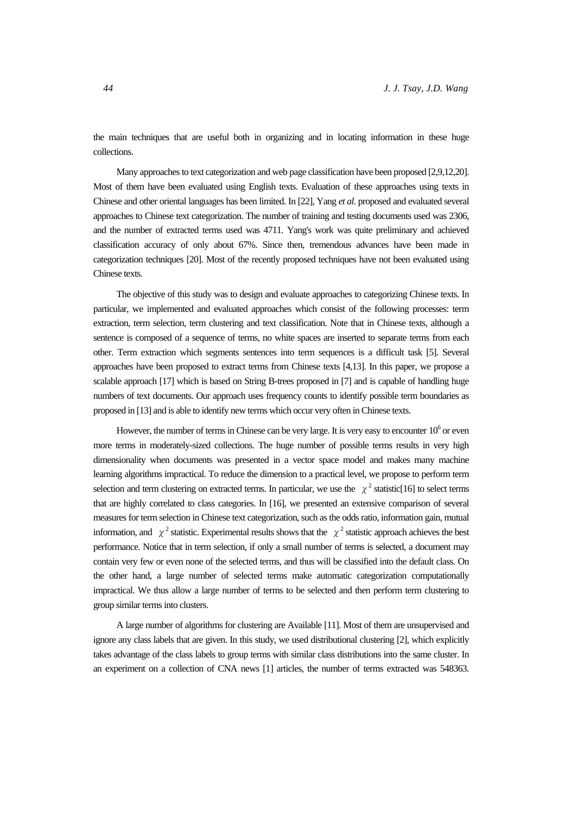the main techniques that are useful both in organizing and in locating information in these huge collections.

Many approaches to text categorization and web page classification have been proposed [2,9,12,20]. Most of them have been evaluated using English texts. Evaluation of these approaches using texts in Chinese and other oriental languages has been limited. In [22], Yang *et al.* proposed and evaluated several approaches to Chinese text categorization. The number of training and testing documents used was 2306, and the number of extracted terms used was 4711. Yang's work was quite preliminary and achieved classification accuracy of only about 67%. Since then, tremendous advances have been made in categorization techniques [20]. Most of the recently proposed techniques have not been evaluated using Chinese texts.

The objective of this study was to design and evaluate approaches to categorizing Chinese texts. In particular, we implemented and evaluated approaches which consist of the following processes: term extraction, term selection, term clustering and text classification. Note that in Chinese texts, although a sentence is composed of a sequence of terms, no white spaces are inserted to separate terms from each other. Term extraction which segments sentences into term sequences is a difficult task [5]. Several approaches have been proposed to extract terms from Chinese texts [4,13]. In this paper, we propose a scalable approach [17] which is based on String B-trees proposed in [7] and is capable of handling huge numbers of text documents. Our approach uses frequency counts to identify possible term boundaries as proposed in [13] and is able to identify new terms which occur very often in Chinese texts.

However, the number of terms in Chinese can be very large. It is very easy to encounter  $10^6$  or even more terms in moderately-sized collections. The huge number of possible terms results in very high dimensionality when documents was presented in a vector space model and makes many machine learning algorithms impractical. To reduce the dimension to a practical level, we propose to perform term selection and term clustering on extracted terms. In particular, we use the  $\chi^2$  statistic[16] to select terms that are highly correlated to class categories. In [16], we presented an extensive comparison of several measures for term selection in Chinese text categorization, such as the odds ratio, information gain, mutual information, and  $\chi^2$  statistic. Experimental results shows that the  $\chi^2$  statistic approach achieves the best performance. Notice that in term selection, if only a small number of terms is selected, a document may contain very few or even none of the selected terms, and thus will be classified into the default class. On the other hand, a large number of selected terms make automatic categorization computationally impractical. We thus allow a large number of terms to be selected and then perform term clustering to group similar terms into clusters.

A large number of algorithms for clustering are Available [11]. Most of them are unsupervised and ignore any class labels that are given. In this study, we used distributional clustering [2], which explicitly takes advantage of the class labels to group terms with similar class distributions into the same cluster. In an experiment on a collection of CNA news [1] articles, the number of terms extracted was 548363.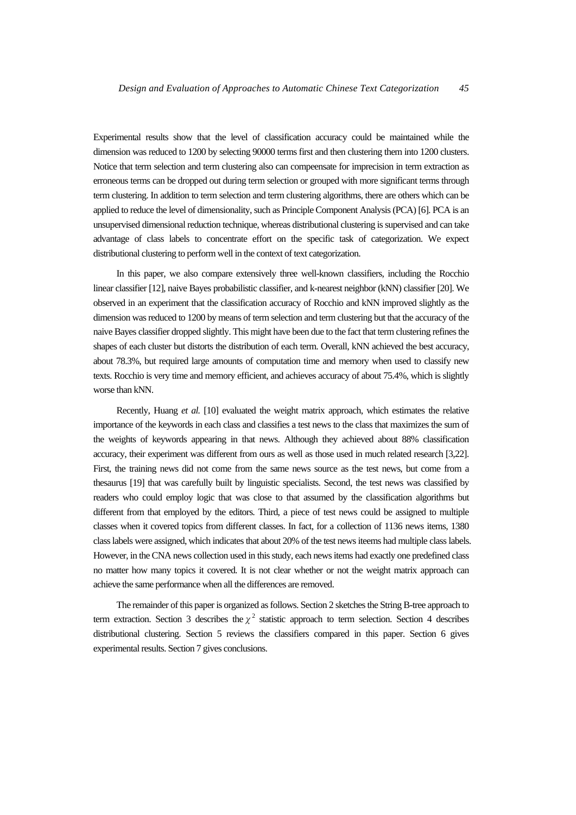Experimental results show that the level of classification accuracy could be maintained while the dimension was reduced to 1200 by selecting 90000 terms first and then clustering them into 1200 clusters. Notice that term selection and term clustering also can compeensate for imprecision in term extraction as erroneous terms can be dropped out during term selection or grouped with more significant terms through term clustering. In addition to term selection and term clustering algorithms, there are others which can be applied to reduce the level of dimensionality, such as Principle Component Analysis (PCA) [6]. PCA is an unsupervised dimensional reduction technique, whereas distributional clustering is supervised and can take advantage of class labels to concentrate effort on the specific task of categorization. We expect distributional clustering to perform well in the context of text categorization.

In this paper, we also compare extensively three well-known classifiers, including the Rocchio linear classifier [12], naive Bayes probabilistic classifier, and k-nearest neighbor (kNN) classifier [20]. We observed in an experiment that the classification accuracy of Rocchio and kNN improved slightly as the dimension was reduced to 1200 by means of term selection and term clustering but that the accuracy of the naive Bayes classifier dropped slightly. This might have been due to the fact that term clustering refines the shapes of each cluster but distorts the distribution of each term. Overall, kNN achieved the best accuracy, about 78.3%, but required large amounts of computation time and memory when used to classify new texts. Rocchio is very time and memory efficient, and achieves accuracy of about 75.4%, which is slightly worse than kNN.

Recently, Huang *et al.* [10] evaluated the weight matrix approach, which estimates the relative importance of the keywords in each class and classifies a test news to the class that maximizes the sum of the weights of keywords appearing in that news. Although they achieved about 88% classification accuracy, their experiment was different from ours as well as those used in much related research [3,22]. First, the training news did not come from the same news source as the test news, but come from a thesaurus [19] that was carefully built by linguistic specialists. Second, the test news was classified by readers who could employ logic that was close to that assumed by the classification algorithms but different from that employed by the editors. Third, a piece of test news could be assigned to multiple classes when it covered topics from different classes. In fact, for a collection of 1136 news items, 1380 class labels were assigned, which indicates that about 20% of the test news iteems had multiple class labels. However, in the CNA news collection used in this study, each news items had exactly one predefined class no matter how many topics it covered. It is not clear whether or not the weight matrix approach can achieve the same performance when all the differences are removed.

The remainder of this paper is organized as follows. Section 2 sketches the String B-tree approach to term extraction. Section 3 describes the  $\chi^2$  statistic approach to term selection. Section 4 describes distributional clustering. Section 5 reviews the classifiers compared in this paper. Section 6 gives experimental results. Section 7 gives conclusions.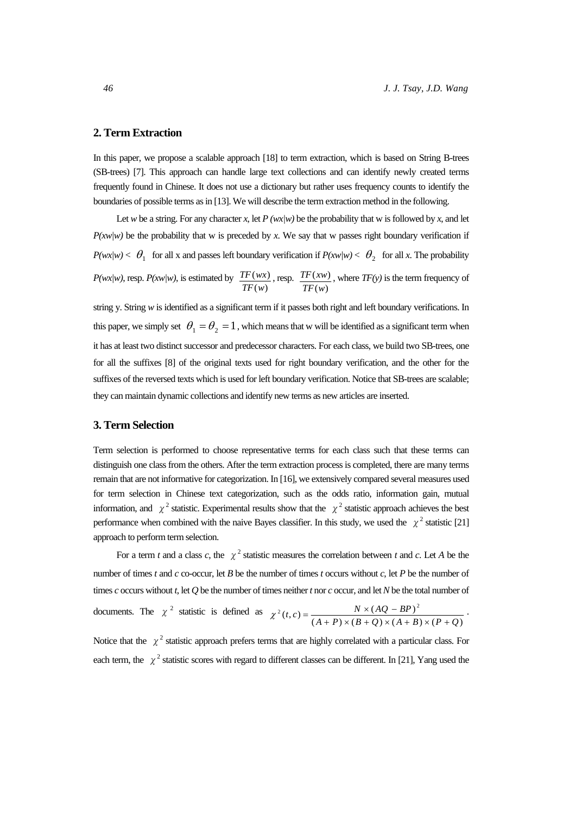# **2. Term Extraction**

In this paper, we propose a scalable approach [18] to term extraction, which is based on String B-trees (SB-trees) [7]. This approach can handle large text collections and can identify newly created terms frequently found in Chinese. It does not use a dictionary but rather uses frequency counts to identify the boundaries of possible terms as in [13]. We will describe the term extraction method in the following.

Let *w* be a string. For any character *x*, let *P* (*wx*/*w*) be the probability that w is followed by *x*, and let  $P(xw/w)$  be the probability that w is preceded by *x*. We say that w passes right boundary verification if *P(wx/w)*  $< \theta_1$  for all x and passes left boundary verification if  $P(xw/w) < \theta_2$  for all x. The probability *P(wx|w)*, resp. *P(xw|w)*, is estimated by  $(w)$  $(wx)$ *TF w*  $TF(wx)$ , resp.  $(w)$  $(xw)$ *TF w*  $TF(xw)$ , where  $TF(y)$  is the term frequency of

string y. String *w* is identified as a significant term if it passes both right and left boundary verifications. In this paper, we simply set  $\theta_1 = \theta_2 = 1$ , which means that w will be identified as a significant term when it has at least two distinct successor and predecessor characters. For each class, we build two SB-trees, one for all the suffixes [8] of the original texts used for right boundary verification, and the other for the suffixes of the reversed texts which is used for left boundary verification. Notice that SB-trees are scalable; they can maintain dynamic collections and identify new terms as new articles are inserted.

#### **3. Term Selection**

Term selection is performed to choose representative terms for each class such that these terms can distinguish one class from the others. After the term extraction process is completed, there are many terms remain that are not informative for categorization. In [16], we extensively compared several measures used for term selection in Chinese text categorization, such as the odds ratio, information gain, mutual information, and  $\chi^2$  statistic. Experimental results show that the  $\chi^2$  statistic approach achieves the best performance when combined with the naive Bayes classifier. In this study, we used the  $\chi^2$  statistic [21] approach to perform term selection.

For a term *t* and a class *c*, the  $\chi^2$  statistic measures the correlation between *t* and *c*. Let *A* be the number of times *t* and *c* co-occur, let *B* be the number of times *t* occurs without *c*, let *P* be the number of times *c* occurs without *t*, let *Q* be the number of times neither *t* nor *c* occur, and let *N* be the total number of

documents. The  $\chi^2$  statistic is defined as  $C^2(t, c) = \frac{N \times (AQ - BP)^2}{(A + P) \times (B + Q) \times (A + B) \times (P + Q)}$  $(A + P) \times (B + Q) \times (A + B) \times (P + Q)$  $\chi^2(t,c) = \frac{N \times (AQ - BP)^2}{(A+P) \times (B+Q) \times (A+B) \times (P+Q)}$ .

Notice that the  $\chi^2$  statistic approach prefers terms that are highly correlated with a particular class. For each term, the  $\chi^2$  statistic scores with regard to different classes can be different. In [21], Yang used the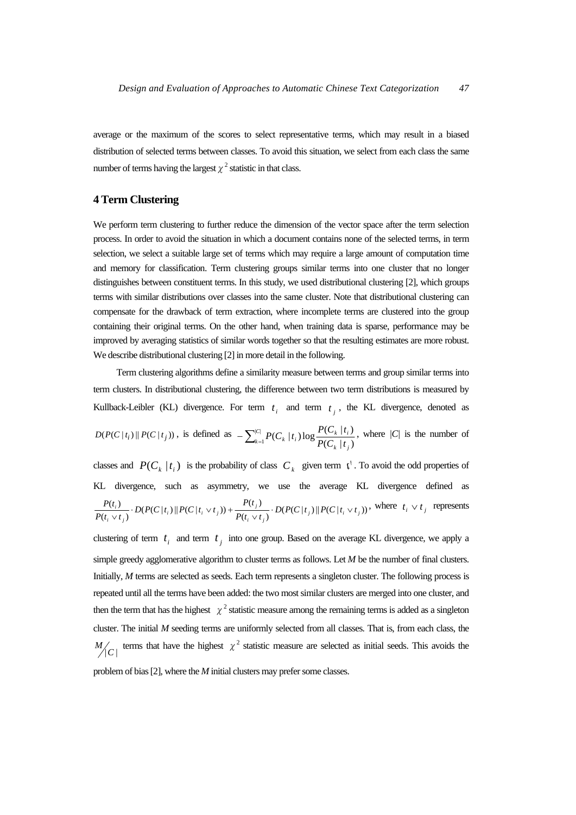average or the maximum of the scores to select representative terms, which may result in a biased distribution of selected terms between classes. To avoid this situation, we select from each class the same number of terms having the largest  $\chi^2$  statistic in that class.

# **4 Term Clustering**

We perform term clustering to further reduce the dimension of the vector space after the term selection process. In order to avoid the situation in which a document contains none of the selected terms, in term selection, we select a suitable large set of terms which may require a large amount of computation time and memory for classification. Term clustering groups similar terms into one cluster that no longer distinguishes between constituent terms. In this study, we used distributional clustering [2], which groups terms with similar distributions over classes into the same cluster. Note that distributional clustering can compensate for the drawback of term extraction, where incomplete terms are clustered into the group containing their original terms. On the other hand, when training data is sparse, performance may be improved by averaging statistics of similar words together so that the resulting estimates are more robust. We describe distributional clustering [2] in more detail in the following.

Term clustering algorithms define a similarity measure between terms and group similar terms into term clusters. In distributional clustering, the difference between two term distributions is measured by Kullback-Leibler (KL) divergence. For term  $t_i$  and term  $t_i$ , the KL divergence, denoted as  $D(P(C | t_i) \| P(C | t_j))$ , is defined as  $-\sum_{k=1}^{|C|} P(C_k | t_i) \log \frac{P(C_k | t_i)}{P(C_k | t_j)}$  $\mathcal{L}$   $\mathcal{L}$   $\mathcal{L}$   $\mathcal{L}$   $\mathcal{L}$   $\mathcal{L}$   $\mathcal{L}$   $\mathcal{L}$   $\mathcal{L}$   $\mathcal{L}$   $\mathcal{L}$   $\mathcal{L}$   $\mathcal{L}$   $\mathcal{L}$   $\mathcal{L}$   $\mathcal{L}$   $\mathcal{L}$   $\mathcal{L}$   $\mathcal{L}$   $\mathcal{L}$   $\mathcal{L}$   $\mathcal{L}$   $\mathcal{L}$   $\mathcal{L}$   $\mathcal{$  $-\sum_{k=1}^{|C|} P(C_k | t_i) \log \frac{P(C_k | t_i)}{P(C_k | t_i)}$ , where *|C|* is the number of

classes and  $P(C_k | t_i)$  is the probability of class  $C_k$  given term  $t^t$ . To avoid the odd properties of KL divergence, such as asymmetry, we use the average KL divergence defined as  $\frac{P(t_i)}{(t_i \vee t_i)} \cdot D(P(C|t_i) \| P(C|t_i \vee t_j)) + \frac{P(t_j)}{P(t_i \vee t_j)} \cdot D(P(C|t_j) \| P(C|t_i \vee t_j))$  $\frac{f(t_i)}{f_i \vee t_j}$   $\cdot$   $D(P(C|t_i) || P(C|t_i \vee t_j)) + \frac{f(t_i)}{P(t_i \vee t_j)}$  $\frac{P}{P(t_i)} \cdot D(P(C|t_i) \| P(C|t_i \vee t_j)) + \frac{P(t_i \vee t_i)}{P(t_i \vee t_i)} \cdot D(P(C|t_j) \| P(C|t_i \vee t_i))$  $\frac{P(t_i)}{P(t_i \vee t_i)} \cdot D(P(C|t_i) \| P(C|t_i \vee t_j)) + \frac{P(t_j)}{P(t_i \vee t_i)} \cdot D(P(C|t_j) \| P(C|t_i \vee t_j))$ , where  $t_i \vee t_j$  represents

clustering of term  $t_i$  and term  $t_i$  into one group. Based on the average KL divergence, we apply a simple greedy agglomerative algorithm to cluster terms as follows. Let *M* be the number of final clusters. Initially, *M* terms are selected as seeds. Each term represents a singleton cluster. The following process is repeated until all the terms have been added: the two most similar clusters are merged into one cluster, and then the term that has the highest  $\chi^2$  statistic measure among the remaining terms is added as a singleton cluster. The initial *M* seeding terms are uniformly selected from all classes. That is, from each class, the  $M/C$  terms that have the highest  $\chi^2$  statistic measure are selected as initial seeds. This avoids the

problem of bias [2], where the *M* initial clusters may prefer some classes.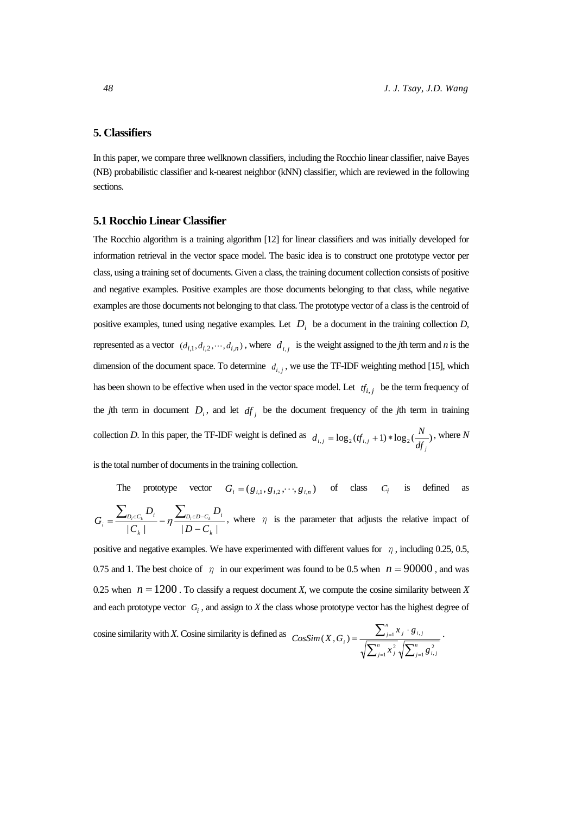# **5. Classifiers**

In this paper, we compare three wellknown classifiers, including the Rocchio linear classifier, naive Bayes (NB) probabilistic classifier and k-nearest neighbor (kNN) classifier, which are reviewed in the following sections.

#### **5.1 Rocchio Linear Classifier**

The Rocchio algorithm is a training algorithm [12] for linear classifiers and was initially developed for information retrieval in the vector space model. The basic idea is to construct one prototype vector per class, using a training set of documents. Given a class, the training document collection consists of positive and negative examples. Positive examples are those documents belonging to that class, while negative examples are those documents not belonging to that class. The prototype vector of a class is the centroid of positive examples, tuned using negative examples. Let  $D_i$  be a document in the training collection  $D$ , represented as a vector  $(d_{i,1}, d_{i,2}, \dots, d_{i,n})$ , where  $d_{i,j}$  is the weight assigned to the *j*th term and *n* is the dimension of the document space. To determine  $d_{i,i}$ , we use the TF-IDF weighting method [15], which has been shown to be effective when used in the vector space model. Let  $tf_{i,j}$  be the term frequency of the *j*th term in document  $D_i$ , and let  $df_i$  be the document frequency of the *j*th term in training collection *D*. In this paper, the TF-IDF weight is defined as  $d_{i,j} = \log_2(t f_{i,j} + 1) * \log_2(\frac{N}{df_i})$ , where *N j*

is the total number of documents in the training collection.

The prototype vector  $G_i = (g_{i,1}, g_{i,2}, \dots, g_{i,n})$  of class  $C_i$  is defined as  $| C_k |$   $| D - C_k |$  $D_i \in D - C_k$ *k*  $D_i \in C_k$ <sup> $D_i$ </sup>  $i = \frac{C_i}{|C_i|} - \eta$ *D C D*  $G_i = \frac{\sum_{D_i \in C_k} D_i}{|C_k|} - \eta \frac{\sum_{D_i \in D - C_k} D_i}{|D - C_k|}$ , where  $\eta$  is the parameter that adjusts the relative impact of

positive and negative examples. We have experimented with different values for  $\eta$ , including 0.25, 0.5, 0.75 and 1. The best choice of  $\eta$  in our experiment was found to be 0.5 when  $n = 90000$ , and was 0.25 when  $n = 1200$ . To classify a request document *X*, we compute the cosine similarity between *X* and each prototype vector  $G_i$ , and assign to  $X$  the class whose prototype vector has the highest degree of

cosine similarity with *X*. Cosine similarity is defined as 
$$
CosSim(X, G_i) = \frac{\sum_{j=1}^{n} x_j \cdot g_{i,j}}{\sqrt{\sum_{j=1}^{n} x_j^2} \sqrt{\sum_{j=1}^{n} g_{i,j}^2}}.
$$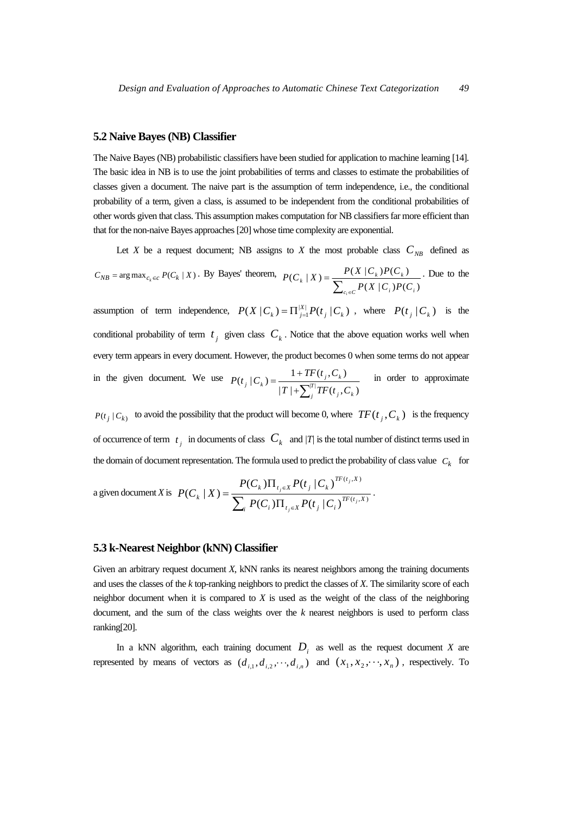#### **5.2 Naive Bayes (NB) Classifier**

The Naive Bayes (NB) probabilistic classifiers have been studied for application to machine learning [14]. The basic idea in NB is to use the joint probabilities of terms and classes to estimate the probabilities of classes given a document. The naive part is the assumption of term independence, i.e., the conditional probability of a term, given a class, is assumed to be independent from the conditional probabilities of other words given that class. This assumption makes computation for NB classifiers far more efficient than that for the non-naive Bayes approaches [20] whose time complexity are exponential.

Let *X* be a request document; NB assigns to *X* the most probable class  $C_{NR}$  defined as

 $C_{NB}$  = arg max $_{c_k \in C}$   $P(C_k | X)$ . By Bayes' theorem,  $\sum\nolimits_{c_i \in}$ =  $c_i \in C$  *f*  $(\mathbf{A} \mid \mathbf{C}_i)$   $(\mathbf{C}_i \mid \mathbf{C}_i)$  $f_k$  | X ) =  $\frac{I(A | C_k)I(C_k)}{P_k}$  $P(X | C_i)P(C_i)$  $P(C_k | X) = \frac{P(X | C_k)P(C_k)}{P(S_k | C_k)}$  $(X | C_i) P(C_i)$  $(C_k | X) = \frac{P(X | C_k)P(C_k)}{P(X | C_k)}$ . Due to the

assumption of term independence,  $P(X | C_k) = \prod_{j=1}^{|X|} P(t_j | C_k)$ , where  $P(t_j | C_k)$  is the conditional probability of term  $t_i$  given class  $C_k$ . Notice that the above equation works well when every term appears in every document. However, the product becomes 0 when some terms do not appear in the given document. We use +∑  $(t_j | C_k) = \frac{1 + TF(t_j, C_k)}{|T| + \sum_{i=1}^{|T|} TF(t_i, C_k)}$  $j^{II}$   $(i_j, c_k)$  $j$ ,  $\mathcal{L}_k$  $T^{T}$   $(T | + \sum_{i}^{T} TF(t_i, C_i)$  $P(t_i | C_k) = \frac{1 + TF(t_j, C_k)}{T}$  in order to approximate

 $P(t_j | C_k)$  to avoid the possibility that the product will become 0, where  $TF(t_j, C_k)$  is the frequency of occurrence of term  $t_i$  in documents of class  $C_k$  and  $|T|$  is the total number of distinct terms used in the domain of document representation. The formula used to predict the probability of class value  $C_k$  for

a given document X is 
$$
P(C_k | X) = \frac{P(C_k) \prod_{t_j \in X} P(t_j | C_k)^{TF(t_j, X)}}{\sum_i P(C_i) \prod_{t_j \in X} P(t_j | C_i)^{TF(t_j, X)}}.
$$

#### **5.3 k-Nearest Neighbor (kNN) Classifier**

Given an arbitrary request document *X*, kNN ranks its nearest neighbors among the training documents and uses the classes of the *k* top-ranking neighbors to predict the classes of *X*. The similarity score of each neighbor document when it is compared to *X* is used as the weight of the class of the neighboring document, and the sum of the class weights over the *k* nearest neighbors is used to perform class ranking[20].

In a kNN algorithm, each training document  $D_i$  as well as the request document *X* are represented by means of vectors as  $(d_{i,1}, d_{i,2}, \dots, d_{i,n})$  and  $(x_1, x_2, \dots, x_n)$ , respectively. To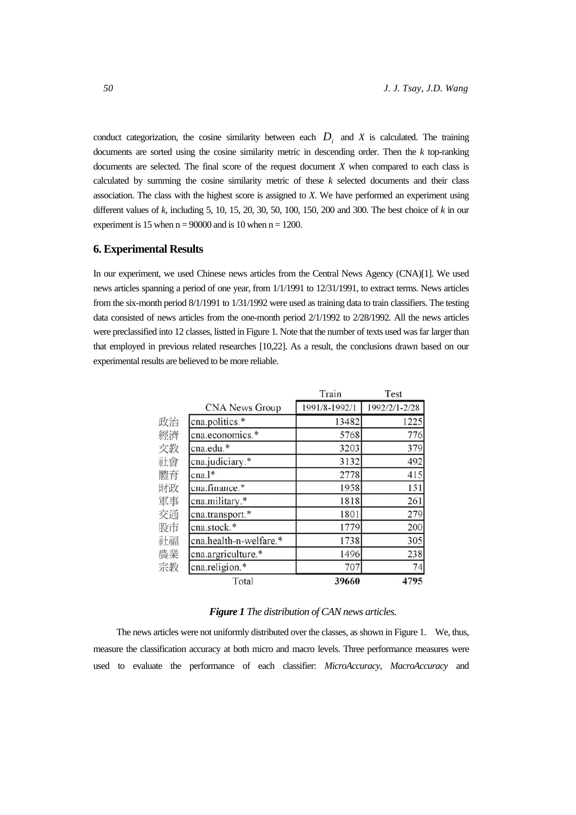conduct categorization, the cosine similarity between each  $D_i$  and  $X$  is calculated. The training documents are sorted using the cosine similarity metric in descending order. Then the *k* top-ranking documents are selected. The final score of the request document *X* when compared to each class is calculated by summing the cosine similarity metric of these *k* selected documents and their class association. The class with the highest score is assigned to *X*. We have performed an experiment using different values of *k*, including 5, 10, 15, 20, 30, 50, 100, 150, 200 and 300. The best choice of *k* in our experiment is 15 when  $n = 90000$  and is 10 when  $n = 1200$ .

### **6. Experimental Results**

In our experiment, we used Chinese news articles from the Central News Agency (CNA)[1]. We used news articles spanning a period of one year, from 1/1/1991 to 12/31/1991, to extract terms. News articles from the six-month period 8/1/1991 to 1/31/1992 were used as training data to train classifiers. The testing data consisted of news articles from the one-month period 2/1/1992 to 2/28/1992. All the news articles were preclassified into 12 classes, listted in Figure 1. Note that the number of texts used was far larger than that employed in previous related researches [10,22]. As a result, the conclusions drawn based on our experimental results are believed to be more reliable.

|    |                        | Train         | Test          |
|----|------------------------|---------------|---------------|
|    | <b>CNA News Group</b>  | 1991/8-1992/1 | 1992/2/1-2/28 |
| 政治 | cna.politics.*         | 13482         | 1225          |
| 經濟 | cna.economics.*        | 5768          | 776           |
| 文教 | cna.edu.*              | 3203          | 379           |
| 社會 | cna.judiciary.*        | 3132          | 492           |
| 體育 | cna.l*                 | 2778          | 415           |
| 財政 | cna.finance.*          | 1958          | 151           |
| 軍事 | cna.military.*         | 1818          | 261           |
| 交通 | cna.transport.*        | 1801          | 279           |
| 股市 | cna.stock.*            | 1779          | 200           |
| 社福 | cna.health-n-welfare.* | 1738          | 305           |
| 農業 | cna.argriculture.*     | 1496          | 238           |
| 宗教 | cna.religion.*         | 707           | 74            |
|    | Total                  | 39660         | 4795          |

#### *Figure 1 The distribution of CAN news articles.*

The news articles were not uniformly distributed over the classes, as shown in Figure 1. We, thus, measure the classification accuracy at both micro and macro levels. Three performance measures were used to evaluate the performance of each classifier: *MicroAccuracy*, *MacroAccuracy* and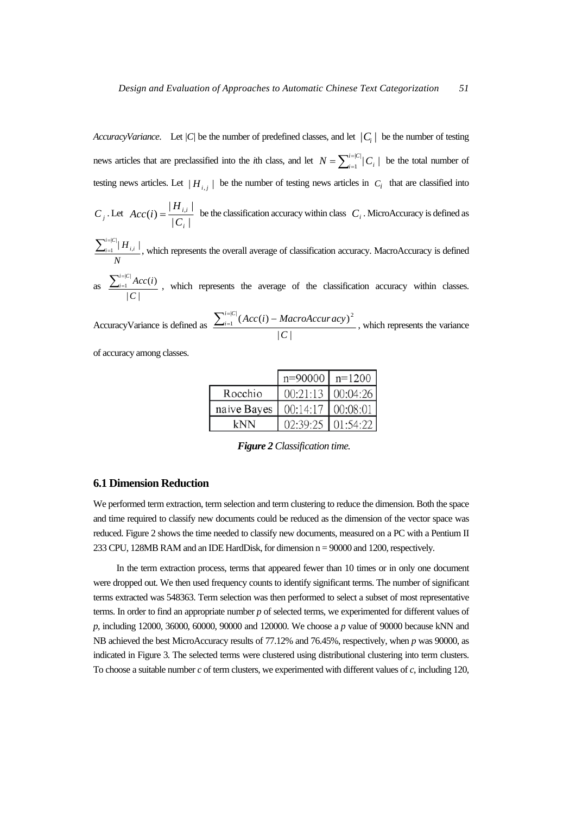*AccuracyVariance.* Let  $|C|$  be the number of predefined classes, and let  $|C_i|$  be the number of testing news articles that are preclassified into the *i*th class, and let  $N = \sum_{i=1}^{i=|C|} |C_i|$  be the total number of testing news articles. Let  $|H_{i,j}|$  be the number of testing news articles in  $C_i$  that are classified into

 $C_j$ . Let  $Acc(i) = \frac{|R_{i,i}|}{|C_i|}$  $(i) = \frac{|H_{i,i}|}{\sqrt{n}}$ *i i i C*  $Acc(i) = \frac{|H_{i,i}|}{|G_i|}$  be the classification accuracy within class  $C_i$ . MicroAccuracy is defined as

*N*  $\sum_{i=1}^{i=|C|} \mid {H}_{i,i}$ =  $\frac{1}{1}$  |  $H_{i,i}$  |, which represents the overall average of classification accuracy. MacroAccuracy is defined

as  $| C |$  $\frac{d|C|}{dt}Acc(i)$ *C*  $\sum_{i=1}^{i=|C|} Acc(i$  $\frac{1}{x}$   $\frac{A(t)}{t}$ , which represents the average of the classification accuracy within classes.

AccuracyVariance is defined as  $|C|$  $\frac{|C|}{4}$ (Acc(i) – MacroAccur acy) 2 *C*  $\sum_{i=1}^{i=|C|} (Acc(i) - MacroAccuracy)^2$ , which represents the variance

of accuracy among classes.

|                                   | $n=90000$   $n=1200$ |          |
|-----------------------------------|----------------------|----------|
| Rocchio                           | $00:21:13$ 00:04:26  |          |
| naive Bayes   00:14:17   00:08:01 |                      |          |
| kNN                               | 02:39:25             | 01:54:22 |

 *Figure 2 Classification time.*

# **6.1 Dimension Reduction**

We performed term extraction, term selection and term clustering to reduce the dimension. Both the space and time required to classify new documents could be reduced as the dimension of the vector space was reduced. Figure 2 shows the time needed to classify new documents, measured on a PC with a Pentium II 233 CPU, 128MB RAM and an IDE HardDisk, for dimension  $n = 90000$  and 1200, respectively.

In the term extraction process, terms that appeared fewer than 10 times or in only one document were dropped out. We then used frequency counts to identify significant terms. The number of significant terms extracted was 548363. Term selection was then performed to select a subset of most representative terms. In order to find an appropriate number *p* of selected terms, we experimented for different values of *p*, including 12000, 36000, 60000, 90000 and 120000. We choose a *p* value of 90000 because kNN and NB achieved the best MicroAccuracy results of 77.12% and 76.45%, respectively, when *p* was 90000, as indicated in Figure 3. The selected terms were clustered using distributional clustering into term clusters. To choose a suitable number *c* of term clusters, we experimented with different values of *c*, including 120,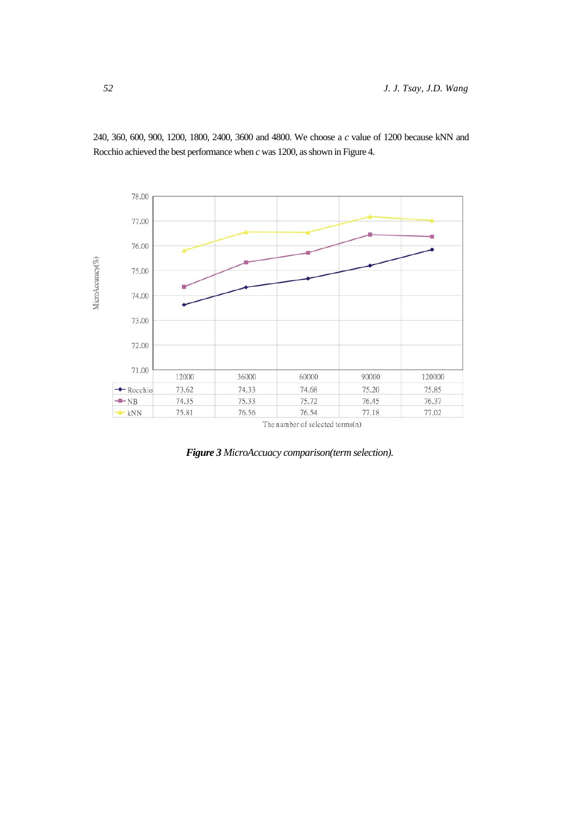

240, 360, 600, 900, 1200, 1800, 2400, 3600 and 4800. We choose a *c* value of 1200 because kNN and Rocchio achieved the best performance when *c* was 1200, as shown in Figure 4.

*Figure 3 MicroAccuacy comparison(term selection).*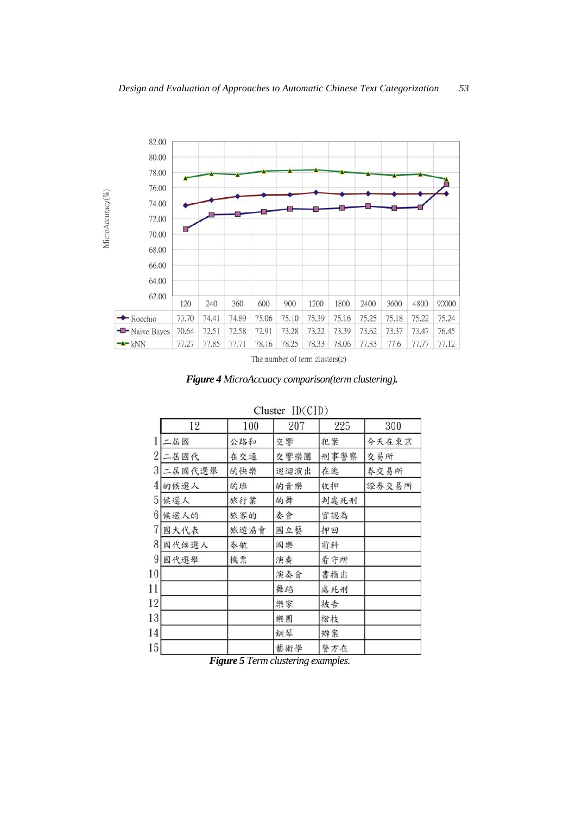

The number of term clusters(c)

*Figure 4 MicroAccuacy comparison(term clustering).* 

|                 | 12     | 100  | 207  | 225  | 300   |
|-----------------|--------|------|------|------|-------|
| 1               | 二屆國    | 公路和  | 交響   | 犯案   | 今天在東京 |
| $\overline{2}$  | 二居國代   | 在交通  | 交響樂團 | 刑事警察 | 交易所   |
| 3               | 二屆國代選舉 | 的快樂  | 巡迴演出 | 在逃   | 券交易所  |
| 4               | 的候選人   | 的班   | 的音樂  | 收押   | 證券交易所 |
| 5               | 候選人    | 旅行業  | 的舞   | 判處死刑 |       |
| 6               | 候選人的   | 旅客的  | 奏會   | 官認為  |       |
| 7               | 國大代表   | 旅遊協會 | 國立藝  | 押回   |       |
| 8               | 國代候選人  | 泰航   | 國樂   | 前科   |       |
| 9               | 國代選舉   | 機票   | 演奏   | 看守所  |       |
| 10              |        |      | 演奏會  | 書指出  |       |
| 11              |        |      | 舞蹈   | 處死刑  |       |
| 12              |        |      | 樂家   | 被告   |       |
| 13              |        |      | 樂團   | 槍枝   |       |
| 14              |        |      | 鋼琴   | 辨案   |       |
| 15 <sup>1</sup> |        |      | 藝術學  | 警方在  |       |

# Cluster  $ID(CID)$

 *Figure 5 Term clustering examples.*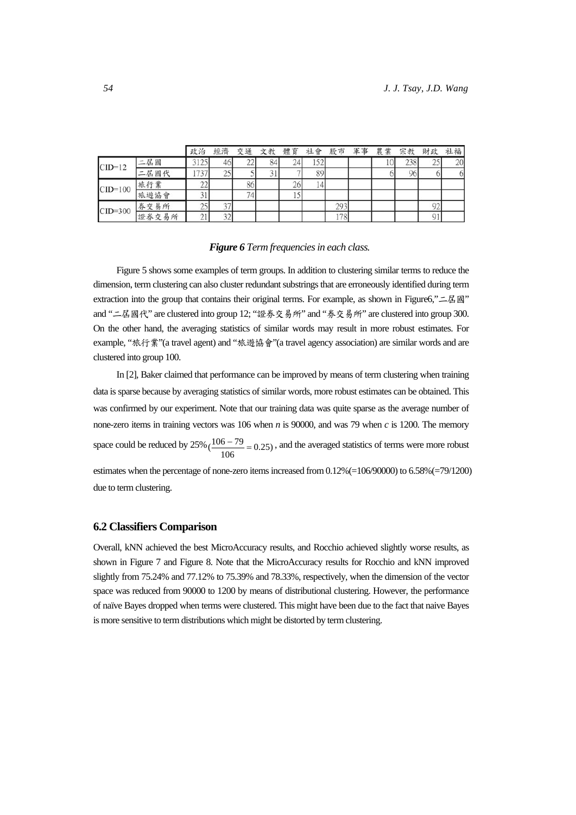|             |       | 政治                       | 經濟  | 交通  | 文教 | 體育 | 社會  | 股市  | 軍事 | 農業 | 宗教  | 財政  | 社福 |
|-------------|-------|--------------------------|-----|-----|----|----|-----|-----|----|----|-----|-----|----|
| $CID=12$    | 二屆國   | 312:                     | 461 | LL  | 84 | 24 | エンム |     |    | 10 | 238 | ننگ | 20 |
|             | 二居國代  |                          | 25  |     |    |    | 89  |     |    |    | 96  |     | 61 |
| $CID=100$   | 旅行業   | $\overline{\phantom{a}}$ |     | 86  |    | 26 | 4   |     |    |    |     |     |    |
|             | 旅遊協會  | $_{\rm 31}$              |     | 74. |    |    |     |     |    |    |     |     |    |
| $CID = 300$ | 券交易所  | نتمك                     | 37  |     |    |    |     | 293 |    |    |     | 92  |    |
|             | 證券交易所 | $\sim$ 1.1               | 32  |     |    |    |     | 178 |    |    |     |     |    |

#### *Figure 6 Term frequencies in each class.*

Figure 5 shows some examples of term groups. In addition to clustering similar terms to reduce the dimension, term clustering can also cluster redundant substrings that are erroneously identified during term extraction into the group that contains their original terms. For example, as shown in Figure6,"二屆國" and "二屆國代" are clustered into group 12; "證券交易所" and "券交易所" are clustered into group 300. On the other hand, the averaging statistics of similar words may result in more robust estimates. For example, "旅行業"(a travel agent) and "旅遊協會"(a travel agency association) are similar words and are clustered into group 100.

In [2], Baker claimed that performance can be improved by means of term clustering when training data is sparse because by averaging statistics of similar words, more robust estimates can be obtained. This was confirmed by our experiment. Note that our training data was quite sparse as the average number of none-zero items in training vectors was 106 when *n* is 90000, and was 79 when *c* is 1200. The memory space could be reduced by  $25\%$  ( $\frac{106-79}{106}$  = 0.25), and the averaged statistics of terms were more robust estimates when the percentage of none-zero items increased from 0.12%(=106/90000) to 6.58%(=79/1200) due to term clustering.

#### **6.2 Classifiers Comparison**

Overall, kNN achieved the best MicroAccuracy results, and Rocchio achieved slightly worse results, as shown in Figure 7 and Figure 8. Note that the MicroAccuracy results for Rocchio and kNN improved slightly from 75.24% and 77.12% to 75.39% and 78.33%, respectively, when the dimension of the vector space was reduced from 90000 to 1200 by means of distributional clustering. However, the performance of naïve Bayes dropped when terms were clustered. This might have been due to the fact that naive Bayes is more sensitive to term distributions which might be distorted by term clustering.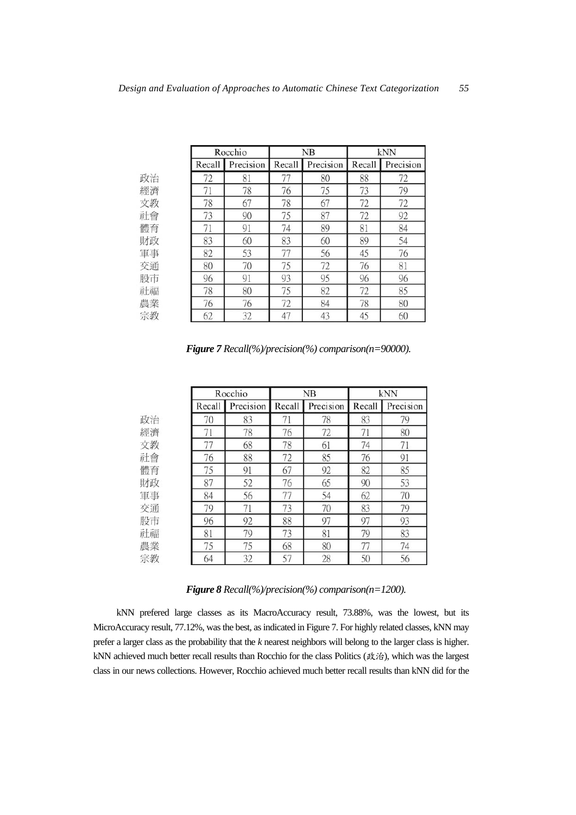|    |        | Rocchio   |        | NB        | kNN    |           |  |
|----|--------|-----------|--------|-----------|--------|-----------|--|
|    | Recall | Precision | Recall | Precision | Recall | Precision |  |
| 政治 | 72     | 81        | 77     | 80        | 88     | 72        |  |
| 經濟 | 71     | 78        | 76     | 75        | 73     | 79        |  |
| 文教 | 78     | 67        | 78     | 67        | 72     | 72        |  |
| 社會 | 73     | 90        | 75     | 87        | 72     | 92        |  |
| 體育 | 71     | 91        | 74     | 89        | 81     | 84        |  |
| 財政 | 83     | 60        | 83     | 60        | 89     | 54        |  |
| 軍事 | 82     | 53        | 77     | 56        | 45     | 76        |  |
| 交通 | 80     | 70        | 75     | 72        | 76     | 81        |  |
| 股市 | 96     | 91        | 93     | 95        | 96     | 96        |  |
| 社福 | 78     | 80        | 75     | 82        | 72     | 85        |  |
| 農業 | 76     | 76        | 72     | 84        | 78     | 80        |  |
| 宗教 | 62     | 32        | 47     | 43        | 45     | 60        |  |

*Figure 7 Recall(%)/precision(%) comparison(n=90000).*

|    |        | Rocchio   |        | NB        | kNN    |           |  |
|----|--------|-----------|--------|-----------|--------|-----------|--|
|    | Recall | Precision | Recall | Precision | Recall | Precision |  |
| 政治 | 70     | 83        | 71     | 78        | 83     | 79        |  |
| 經濟 | 71     | 78        | 76     | 72        | 71     | 80        |  |
| 文教 | 77     | 68        | 78     | 61        | 74     | 71        |  |
| 社會 | 76     | 88        | 72     | 85        | 76     | 91        |  |
| 體育 | 75     | 91        | 67     | 92        | 82     | 85        |  |
| 財政 | 87     | 52        | 76     | 65        | 90     | 53        |  |
| 軍事 | 84     | 56        | 77     | 54        | 62     | 70        |  |
| 交通 | 79     | 71        | 73     | 70        | 83     | 79        |  |
| 股市 | 96     | 92        | 88     | 97        | 97     | 93        |  |
| 社福 | 81     | 79        | 73     | 81        | 79     | 83        |  |
| 農業 | 75     | 75        | 68     | 80        | 77     | 74        |  |
| 宗教 | 64     | 32        | 57     | 28        | 50     | 56        |  |

*Figure 8 Recall(%)/precision(%) comparison(n=1200).*

kNN prefered large classes as its MacroAccuracy result, 73.88%, was the lowest, but its MicroAccuracy result, 77.12%, was the best, as indicated in Figure 7. For highly related classes, kNN may prefer a larger class as the probability that the *k* nearest neighbors will belong to the larger class is higher. kNN achieved much better recall results than Rocchio for the class Politics (政治), which was the largest class in our news collections. However, Rocchio achieved much better recall results than kNN did for the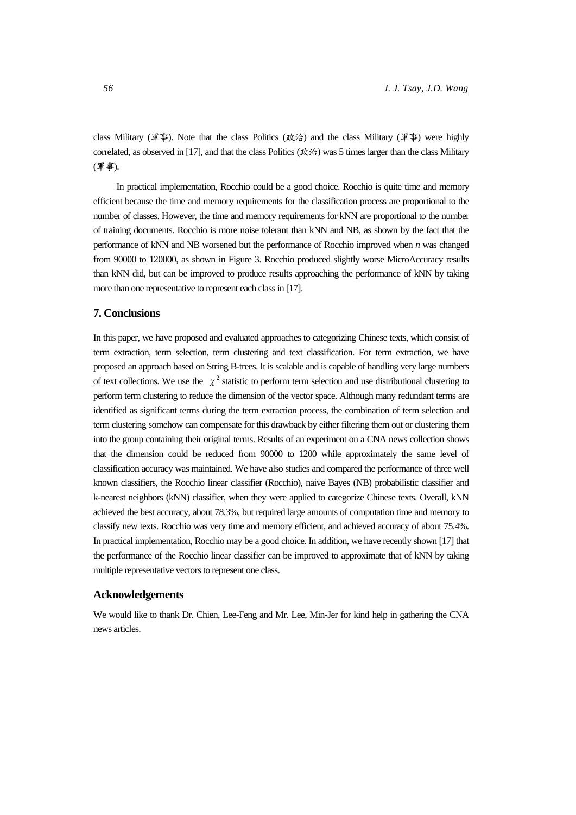class Military (軍事). Note that the class Politics (政治) and the class Military (軍事) were highly correlated, as observed in [17], and that the class Politics (政治) was 5 times larger than the class Military (軍事).

In practical implementation, Rocchio could be a good choice. Rocchio is quite time and memory efficient because the time and memory requirements for the classification process are proportional to the number of classes. However, the time and memory requirements for kNN are proportional to the number of training documents. Rocchio is more noise tolerant than kNN and NB, as shown by the fact that the performance of kNN and NB worsened but the performance of Rocchio improved when *n* was changed from 90000 to 120000, as shown in Figure 3. Rocchio produced slightly worse MicroAccuracy results than kNN did, but can be improved to produce results approaching the performance of kNN by taking more than one representative to represent each class in [17].

# **7. Conclusions**

In this paper, we have proposed and evaluated approaches to categorizing Chinese texts, which consist of term extraction, term selection, term clustering and text classification. For term extraction, we have proposed an approach based on String B-trees. It is scalable and is capable of handling very large numbers of text collections. We use the  $\chi^2$  statistic to perform term selection and use distributional clustering to perform term clustering to reduce the dimension of the vector space. Although many redundant terms are identified as significant terms during the term extraction process, the combination of term selection and term clustering somehow can compensate for this drawback by either filtering them out or clustering them into the group containing their original terms. Results of an experiment on a CNA news collection shows that the dimension could be reduced from 90000 to 1200 while approximately the same level of classification accuracy was maintained. We have also studies and compared the performance of three well known classifiers, the Rocchio linear classifier (Rocchio), naive Bayes (NB) probabilistic classifier and k-nearest neighbors (kNN) classifier, when they were applied to categorize Chinese texts. Overall, kNN achieved the best accuracy, about 78.3%, but required large amounts of computation time and memory to classify new texts. Rocchio was very time and memory efficient, and achieved accuracy of about 75.4%. In practical implementation, Rocchio may be a good choice. In addition, we have recently shown [17] that the performance of the Rocchio linear classifier can be improved to approximate that of kNN by taking multiple representative vectors to represent one class.

## **Acknowledgements**

We would like to thank Dr. Chien, Lee-Feng and Mr. Lee, Min-Jer for kind help in gathering the CNA news articles.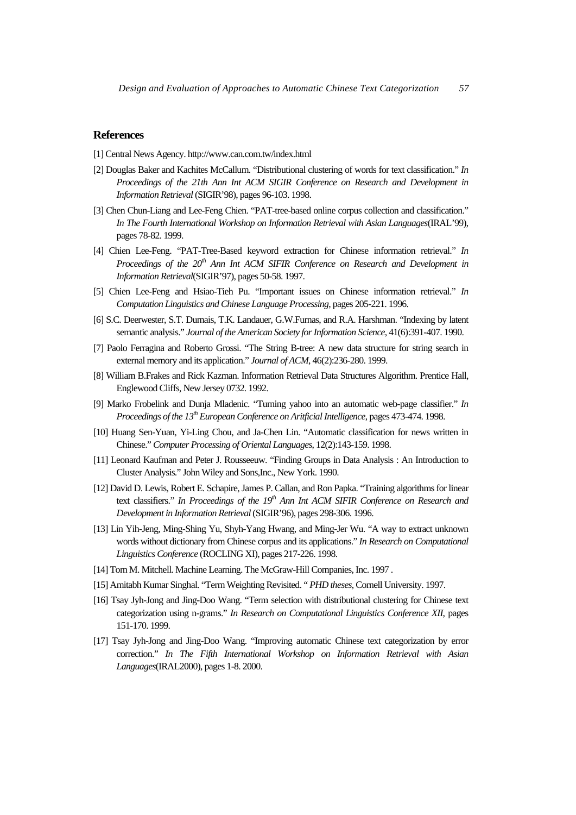## **References**

- [1] Central News Agency. http://www.can.com.tw/index.html
- [2] Douglas Baker and Kachites McCallum. "Distributional clustering of words for text classification." *In*  Proceedings of the 21th Ann Int ACM SIGIR Conference on Research and Development in *Information Retrieval* (SIGIR'98), pages 96-103. 1998.
- [3] Chen Chun-Liang and Lee-Feng Chien. "PAT-tree-based online corpus collection and classification." *In The Fourth International Workshop on Information Retrieval with Asian Languages*(IRAL'99), pages 78-82. 1999.
- [4] Chien Lee-Feng. "PAT-Tree-Based keyword extraction for Chinese information retrieval." *In Proceedings of the 20<sup>th</sup> Ann Int ACM SIFIR Conference on Research and Development in Information Retrieval*(SIGIR'97), pages 50-58. 1997.
- [5] Chien Lee-Feng and Hsiao-Tieh Pu. "Important issues on Chinese information retrieval." *In Computation Linguistics and Chinese Language Processing*, pages 205-221. 1996.
- [6] S.C. Deerwester, S.T. Dumais, T.K. Landauer, G.W.Furnas, and R.A. Harshman. "Indexing by latent semantic analysis." *Journal of the American Society for Information Science*, 41(6):391-407. 1990.
- [7] Paolo Ferragina and Roberto Grossi. "The String B-tree: A new data structure for string search in external memory and its application." *Journal of ACM*, 46(2):236-280. 1999.
- [8] William B.Frakes and Rick Kazman. Information Retrieval Data Structures Algorithm. Prentice Hall, Englewood Cliffs, New Jersey 0732. 1992.
- [9] Marko Frobelink and Dunja Mladenic. "Turning yahoo into an automatic web-page classifier." *In Proceedings of the 13<sup>th</sup> European Conference on Aritficial Intelligence*, pages 473-474. 1998.
- [10] Huang Sen-Yuan, Yi-Ling Chou, and Ja-Chen Lin. "Automatic classification for news written in Chinese." *Computer Processing of Oriental Languages*, 12(2):143-159. 1998.
- [11] Leonard Kaufman and Peter J. Rousseeuw. "Finding Groups in Data Analysis : An Introduction to Cluster Analysis." John Wiley and Sons,Inc., New York. 1990.
- [12] David D. Lewis, Robert E. Schapire, James P. Callan, and Ron Papka. "Training algorithms for linear text classifiers." In Proceedings of the 19<sup>th</sup> Ann Int ACM SIFIR Conference on Research and *Development in Information Retrieval* (SIGIR'96), pages 298-306. 1996.
- [13] Lin Yih-Jeng, Ming-Shing Yu, Shyh-Yang Hwang, and Ming-Jer Wu. "A way to extract unknown words without dictionary from Chinese corpus and its applications." *In Research on Computational Linguistics Conference* (ROCLING XI), pages 217-226. 1998.
- [14] Tom M. Mitchell. Machine Learning. The McGraw-Hill Companies, Inc. 1997.
- [15] Amitabh Kumar Singhal. "Term Weighting Revisited. " *PHD theses*, Cornell University. 1997.
- [16] Tsay Jyh-Jong and Jing-Doo Wang. "Term selection with distributional clustering for Chinese text categorization using n-grams." *In Research on Computational Linguistics Conference XII*, pages 151-170. 1999.
- [17] Tsay Jyh-Jong and Jing-Doo Wang. "Improving automatic Chinese text categorization by error correction." *In The Fifth International Workshop on Information Retrieval with Asian Languages*(IRAL2000), pages 1-8. 2000.